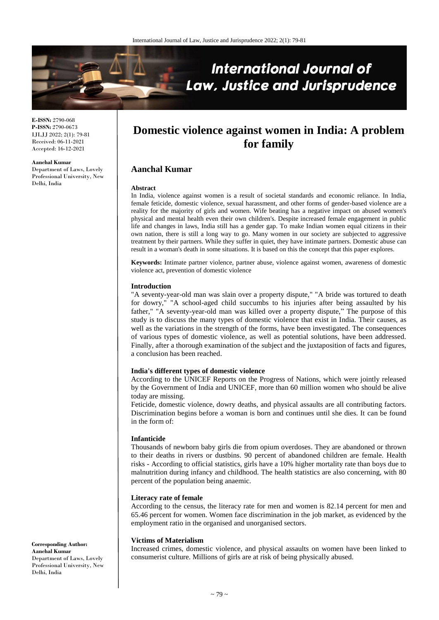

**E-ISSN:** 2790-068 **P-ISSN:** 2790-0673 IJLJJ 2022; 2(1): 79-81 Received: 06-11-2021 Accepted: 16-12-2021

**Aanchal Kumar**

Department of Laws, Lovely Professional University, New Delhi, India

# **Domestic violence against women in India: A problem for family**

# **Aanchal Kumar**

#### **Abstract**

In India, violence against women is a result of societal standards and economic reliance. In India, female feticide, domestic violence, sexual harassment, and other forms of gender-based violence are a reality for the majority of girls and women. Wife beating has a negative impact on abused women's physical and mental health even their own children's. Despite increased female engagement in public life and changes in laws, India still has a gender gap. To make Indian women equal citizens in their own nation, there is still a long way to go. Many women in our society are subjected to aggressive treatment by their partners. While they suffer in quiet, they have intimate partners. Domestic abuse can result in a woman's death in some situations. It is based on this the concept that this paper explores.

**Keywords:** Intimate partner violence, partner abuse, violence against women, awareness of domestic violence act, prevention of domestic violence

#### **Introduction**

"A seventy-year-old man was slain over a property dispute," "A bride was tortured to death for dowry," "A school-aged child succumbs to his injuries after being assaulted by his father," "A seventy-year-old man was killed over a property dispute," The purpose of this study is to discuss the many types of domestic violence that exist in India. Their causes, as well as the variations in the strength of the forms, have been investigated. The consequences of various types of domestic violence, as well as potential solutions, have been addressed. Finally, after a thorough examination of the subject and the juxtaposition of facts and figures, a conclusion has been reached.

#### **India's different types of domestic violence**

According to the UNICEF Reports on the Progress of Nations, which were jointly released by the Government of India and UNICEF, more than 60 million women who should be alive today are missing.

Feticide, domestic violence, dowry deaths, and physical assaults are all contributing factors. Discrimination begins before a woman is born and continues until she dies. It can be found in the form of:

# **Infanticide**

Thousands of newborn baby girls die from opium overdoses. They are abandoned or thrown to their deaths in rivers or dustbins. 90 percent of abandoned children are female. Health risks - According to official statistics, girls have a 10% higher mortality rate than boys due to malnutrition during infancy and childhood. The health statistics are also concerning, with 80 percent of the population being anaemic.

#### **Literacy rate of female**

According to the census, the literacy rate for men and women is 82.14 percent for men and 65.46 percent for women. Women face discrimination in the job market, as evidenced by the employment ratio in the organised and unorganised sectors.

## **Victims of Materialism**

Increased crimes, domestic violence, and physical assaults on women have been linked to consumerist culture. Millions of girls are at risk of being physically abused.

**Corresponding Author: Aanchal Kumar** Department of Laws, Lovely Professional University, New Delhi, India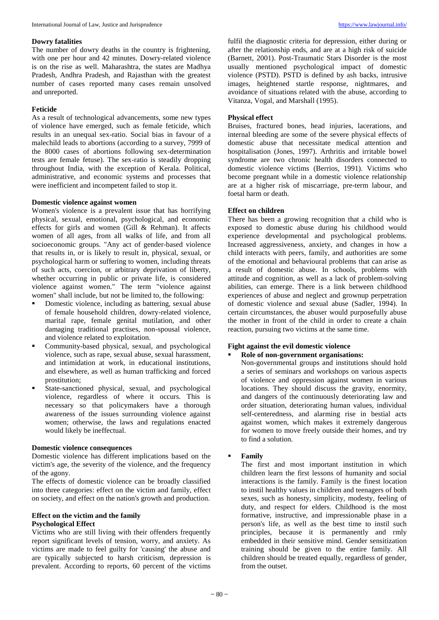## **Dowry fatalities**

The number of dowry deaths in the country is frightening, with one per hour and 42 minutes. Dowry-related violence is on the rise as well. Maharashtra, the states are Madhya Pradesh, Andhra Pradesh, and Rajasthan with the greatest number of cases reported many cases remain unsolved and unreported.

# **Feticide**

As a result of technological advancements, some new types of violence have emerged, such as female feticide, which results in an unequal sex-ratio. Social bias in favour of a malechild leads to abortions (according to a survey, 7999 of the 8000 cases of abortions following sex-determination tests are female fetuse). The sex-ratio is steadily dropping throughout India, with the exception of Kerala. Political, administrative, and economic systems and processes that were inefficient and incompetent failed to stop it.

## **Domestic violence against women**

Women's violence is a prevalent issue that has horrifying physical, sexual, emotional, psychological, and economic effects for girls and women (Gill & Rehman). It affects women of all ages, from all walks of life, and from all socioeconomic groups. "Any act of gender-based violence that results in, or is likely to result in, physical, sexual, or psychological harm or suffering to women, including threats of such acts, coercion, or arbitrary deprivation of liberty, whether occurring in public or private life, is considered violence against women." The term "violence against women" shall include, but not be limited to, the following:

- Domestic violence, including as battering, sexual abuse of female household children, dowry-related violence, marital rape, female genital mutilation, and other damaging traditional practises, non-spousal violence, and violence related to exploitation.
- Community-based physical, sexual, and psychological violence, such as rape, sexual abuse, sexual harassment, and intimidation at work, in educational institutions, and elsewhere, as well as human trafficking and forced prostitution;
- State-sanctioned physical, sexual, and psychological violence, regardless of where it occurs. This is necessary so that policymakers have a thorough awareness of the issues surrounding violence against women; otherwise, the laws and regulations enacted would likely be ineffectual.

## **Domestic violence consequences**

Domestic violence has different implications based on the victim's age, the severity of the violence, and the frequency of the agony.

The effects of domestic violence can be broadly classified into three categories: effect on the victim and family, effect on society, and effect on the nation's growth and production.

# **Effect on the victim and the family Psychological Effect**

Victims who are still living with their offenders frequently report significant levels of tension, worry, and anxiety. As victims are made to feel guilty for 'causing' the abuse and are typically subjected to harsh criticism, depression is prevalent. According to reports, 60 percent of the victims

fulfil the diagnostic criteria for depression, either during or after the relationship ends, and are at a high risk of suicide (Barnett, 2001). Post-Traumatic Stars Disorder is the most usually mentioned psychological impact of domestic violence (PSTD). PSTD is defined by ash backs, intrusive images, heightened startle response, nightmares, and avoidance of situations related with the abuse, according to Vitanza, Vogal, and Marshall (1995).

# **Physical effect**

Bruises, fractured bones, head injuries, lacerations, and internal bleeding are some of the severe physical effects of domestic abuse that necessitate medical attention and hospitalisation (Jones, 1997). Arthritis and irritable bowel syndrome are two chronic health disorders connected to domestic violence victims (Berrios, 1991). Victims who become pregnant while in a domestic violence relationship are at a higher risk of miscarriage, pre-term labour, and foetal harm or death.

# **Effect on children**

There has been a growing recognition that a child who is exposed to domestic abuse during his childhood would experience developmental and psychological problems. Increased aggressiveness, anxiety, and changes in how a child interacts with peers, family, and authorities are some of the emotional and behavioural problems that can arise as a result of domestic abuse. In schools, problems with attitude and cognition, as well as a lack of problem-solving abilities, can emerge. There is a link between childhood experiences of abuse and neglect and grownup perpetration of domestic violence and sexual abuse (Sadler, 1994). In certain circumstances, the abuser would purposefully abuse the mother in front of the child in order to create a chain reaction, pursuing two victims at the same time.

# **Fight against the evil domestic violence**

# **Role of non-government organisations:**

Non-governmental groups and institutions should hold a series of seminars and workshops on various aspects of violence and oppression against women in various locations. They should discuss the gravity, enormity, and dangers of the continuously deteriorating law and order situation, deteriorating human values, individual self-centeredness, and alarming rise in bestial acts against women, which makes it extremely dangerous for women to move freely outside their homes, and try to find a solution.

# **Family**

The first and most important institution in which children learn the first lessons of humanity and social interactions is the family. Family is the finest location to instil healthy values in children and teenagers of both sexes, such as honesty, simplicity, modesty, feeling of duty, and respect for elders. Childhood is the most formative, instructive, and impressionable phase in a person's life, as well as the best time to instil such principles, because it is permanently and rmly embedded in their sensitive mind. Gender sensitization training should be given to the entire family. All children should be treated equally, regardless of gender, from the outset.